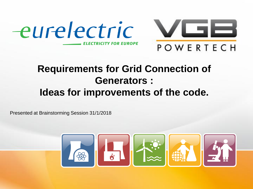



### **Requirements for Grid Connection of Generators : Ideas for improvements of the code.**

Presented at Brainstorming Session 31/1/2018

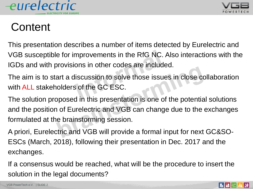



# **Content**

This presentation describes a number of items detected by Eurelectric and VGB susceptible for improvements in the RfG NC. Also interactions with the IGDs and with provisions in other codes are included.

The aim is to start a discussion to solve those issues in close collaboration with ALL stakeholders of the GC ESC.

The solution proposed in this presentation is one of the potential solutions and the position of Eurelectric and VGB can change due to the exchanges formulated at the brainstorming session.

A priori, Eurelectric and VGB will provide a formal input for next GC&SO-ESCs (March, 2018), following their presentation in Dec. 2017 and the exchanges.

If a consensus would be reached, what will be the procedure to insert the solution in the legal documents?

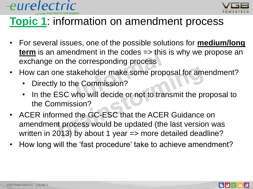



### **Topic 1**: information on amendment process

- For several issues, one of the possible solutions for **medium/long term** is an amendment in the codes => this is why we propose an exchange on the corresponding process
- How can one stakeholder make some proposal for amendment?
	- Directly to the Commission?
	- In the ESC who will decide or not to transmit the proposal to the Commission?
- ACER informed the GC-ESC that the ACER Guidance on amendment process would be updated (the last version was written in 2013) by about 1 year => more detailed deadline?
- How long will the 'fast procedure' take to achieve amendment?

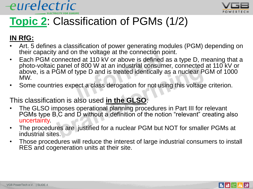



# **Topic 2**: Classification of PGMs (1/2)

#### **IN RfG:**

- Art. 5 defines a classification of power generating modules (PGM) depending on their capacity and on the voltage at the connection point.
- Each PGM connected at 110 kV or above is defined as a type D, meaning that a photo-voltaic panel of 800 W at an industrial consumer, connected at 110 kV or above, is a PGM of type D and is treated identically as a nuclear PGM of 1000 MW.
- Some countries expect a class derogation for not using this voltage criterion.

#### This classification is also used **in the GLSO**:

- The GLSO imposes operational planning procedures in Part III for relevant PGMs type B,C and D without a definition of the notion "relevant" creating also uncertainty.
- The procedures are justified for a nuclear PGM but NOT for smaller PGMs at industrial sites.
- Those procedures will reduce the interest of large industrial consumers to install RES and cogeneration units at their site.

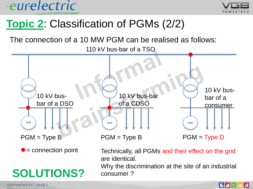



### **Topic 2**: Classification of PGMs (2/2)

The connection of a 10 MW PGM can be realised as follows:

110 kV bus-bar of a TSO



# **SOLUTIONS?**

Technically, all PGMs and their effect on the grid are identical.

Why the discrimination at the site of an industrial consumer ?

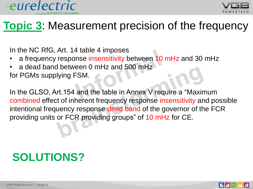



### **Topic 3**: Measurement precision of the frequency

In the NC RfG, Art. 14 table 4 imposes

- a frequency response insensitivity between 10 mHz and 30 mHz
- a dead band between 0 mHz and 500 mHz

for PGMs supplying FSM.

In the GLSO, Art.154 and the table in Annex V require a "Maximum combined effect of inherent frequency response insensitivity and possible intentional frequency response dead band of the governor of the FCR providing units or FCR providing groups" of 10 mHz for CE.

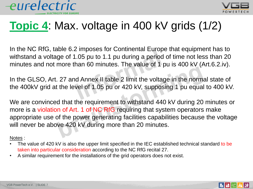



## **Topic 4**: Max. voltage in 400 kV grids (1/2)

In the NC RfG, table 6.2 imposes for Continental Europe that equipment has to withstand a voltage of 1.05 pu to 1.1 pu during a period of time not less than 20 minutes and not more than 60 minutes. The value of 1 pu is 400 kV (Art.6.2.iv).

In the GLSO, Art. 27 and Annex II table 2 limit the voltage in the normal state of the 400kV grid at the level of 1.05 pu or 420 kV, supposing 1 pu equal to 400 kV.

We are convinced that the requirement to withstand 440 kV during 20 minutes or more is a violation of Art. 1 of NC RfG requiring that system operators make appropriate use of the power generating facilities capabilities because the voltage will never be above 420 kV during more than 20 minutes.

#### Notes :

- The value of 420 kV is also the upper limit specified in the IEC established technical standard to be taken into particular consideration according to the NC RfG recital 27.
- A similar requirement for the installations of the grid operators does not exist.



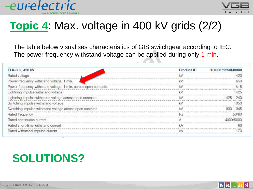



∦∉ |

▐▗▏▎▛▏▏

# **Topic 4**: Max. voltage in 400 kV grids (2/2)

The table below visualises characteristics of GIS switchgear according to IEC. The power frequency withstand voltage can be applied during only 1 min.

| ELK-3 C, 420 kV                                                | <b>Product ID</b> | 1HC0071250M0080 |
|----------------------------------------------------------------|-------------------|-----------------|
| Rated voltage                                                  |                   |                 |
| Power-frequency withstand voltage, 1 min.                      |                   |                 |
| Power-frequency withstand voltage, 1 min. across open contacts |                   |                 |
| Lightning impulse withstand voltage                            |                   |                 |
| Lightning impulse withstand voltage across open contacts       |                   |                 |
| Switching impulse withstand voltage                            |                   |                 |
| Switching impulse withstand voltage across open contacts       |                   |                 |
| Rated frequency                                                |                   |                 |
| Rated continuous current                                       |                   |                 |
| Rated short-time withstand current                             |                   |                 |
| Rated withstand impulse current                                |                   |                 |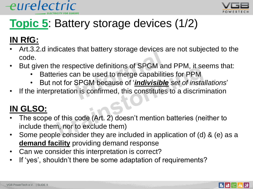



# **Topic 5**: Battery storage devices (1/2)

### **IN RfG:**

- Art.3.2.d indicates that battery storage devices are not subjected to the code.
- But given the respective definitions of SPGM and PPM, it seems that:
	- Batteries can be used to merge capabilities for PPM
	- But not for SPGM because of '*indivisible set of installations*'
- If the interpretation is confirmed, this constitutes to a discrimination

### **IN GLSO:**

- The scope of this code (Art. 2) doesn't mention batteries (neither to include them, nor to exclude them)
- Some people consider they are included in application of (d) & (e) as a **demand facility** providing demand response
- Can we consider this interpretation is correct?
- If 'yes', shouldn't there be some adaptation of requirements?

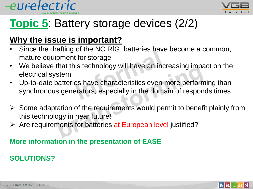



## **Topic 5**: Battery storage devices (2/2)

### **Why the issue is important?**

- Since the drafting of the NC RfG, batteries have become a common, mature equipment for storage
- We believe that this technology will have an increasing impact on the electrical system
- Up-to-date batteries have characteristics even more performing than synchronous generators, especially in the domain of responds times
- $\triangleright$  Some adaptation of the requirements would permit to benefit plainly from this technology in near future!
- $\triangleright$  Are requirements for batteries at European level justified?

### **More information in the presentation of EASE**

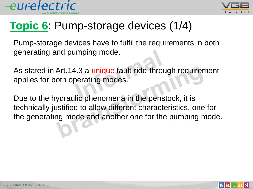



## **Topic 6**: Pump-storage devices (1/4)

Pump-storage devices have to fulfil the requirements in both generating and pumping mode.

As stated in Art.14.3 a unique fault-ride-through requirement applies for both operating modes.

Due to the hydraulic phenomena in the penstock, it is technically justified to allow different characteristics, one for the generating mode and another one for the pumping mode.

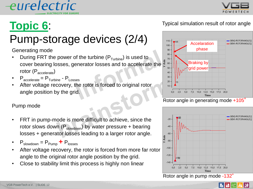

# **Topic 6**:

# Pump-storage devices (2/4)

Generating mode

- During FRT the power of the turbine  $(P_{Turbine})$  is used to cover bearing losses, generator losses and to accelerate the rotor (P<sub>accelerate</sub>)
- $P_{\text{accelerate}} = P_{\text{Turbine}} P_{\text{Losses}}$
- After voltage recovery, the rotor is forced to original rotor angle position by the grid.

#### Pump mode

- FRT in pump-mode is more difficult to achieve, since the rotor slows down ( $P_{slowdown}$ ) by water pressure + bearing losses + generator losses leading to a larger rotor angle.
- $P_{\text{slowdown}} = P_{\text{Pump}} + P_{\text{losses}}$
- After voltage recovery, the rotor is forced from more far rotor angle to the original rotor angle position by the grid.
- Close to stability limit this process is highly non linear

#### Typical simulation result of rotor angle





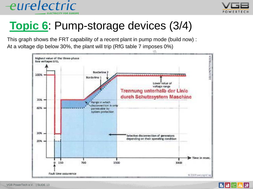



## **Topic 6**: Pump-storage devices (3/4)

This graph shows the FRT capability of a recent plant in pump mode (build now) : At a voltage dip below 30%, the plant will trip (RfG table 7 imposes 0%)



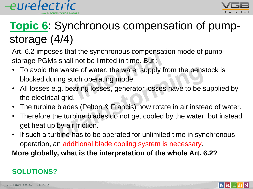



# **Topic 6**: Synchronous compensation of pumpstorage (4/4)

Art. 6.2 imposes that the synchronous compensation mode of pumpstorage PGMs shall not be limited in time. But :

- To avoid the waste of water, the water supply from the penstock is blocked during such operating mode.
- All losses e.g. bearing losses, generator losses have to be supplied by the electrical grid.
- The turbine blades (Pelton & Francis) now rotate in air instead of water.
- Therefore the turbine blades do not get cooled by the water, but instead get heat up by air friction.
- If such a turbine has to be operated for unlimited time in synchronous operation, an additional blade cooling system is necessary.

**More globally, what is the interpretation of the whole Art. 6.2?**

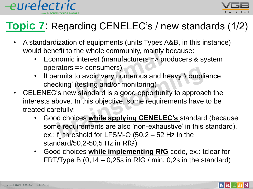



### **Topic 7**: Regarding CENELEC's / new standards (1/2)

- A standardization of equipments (units Types A&B, in this instance) would benefit to the whole community, mainly because:
	- Economic interest (manufacturers => producers & system operators => consumers)
	- It permits to avoid very numerous and heavy 'compliance checking' (testing and/or monitoring)
- CELENEC's new standard is a good opportunity to approach the interests above. In this objective, some requirements have to be treated carefully:
	- Good choices **while applying CENELEC's** standard (because some requirements are also 'non-exhaustive' in this standard), ex.:  $f_1$  threshold for LFSM-O (50,2 – 52 Hz in the standard/50,2-50,5 Hz in RfG)
	- Good choices **while implementing RfG** code, ex.: tclear for FRT/Type B  $(0, 14 - 0, 25s)$  in RfG / min. 0,2s in the standard)

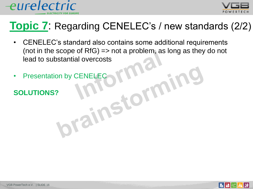



### **Topic 7**: Regarding CENELEC's / new standards (2/2)

- CENELEC's standard also contains some additional requirements (not in the scope of  $RfG \implies not a problem$ , as long as they do not lead to substantial overcosts
- Presentation by CENELECTION
- **SOLUTIONS?**

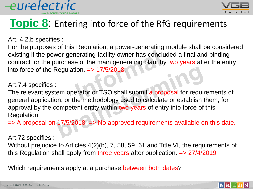

### **Topic 8:** Entering into force of the RfG requirements

Art. 4.2.b specifies :

For the purposes of this Regulation, a power-generating module shall be considered existing if the power-generating facility owner has concluded a final and binding contract for the purchase of the main generating plant by two years after the entry into force of the Regulation. => 17/5/2018.

#### Art.7.4 specifies :

The relevant system operator or TSO shall submit a proposal for requirements of general application, or the methodology used to calculate or establish them, for approval by the competent entity within two years of entry into force of this Regulation.

 $\Rightarrow$  A proposal on 17/5/2018.  $\Rightarrow$  No approved requirements available on this date.

Art.72 specifies :

Without prejudice to Articles 4(2)(b), 7, 58, 59, 61 and Title VI, the requirements of this Regulation shall apply from three years after publication.  $\Rightarrow$  27/4/2019

Which requirements apply at a purchase between both dates?



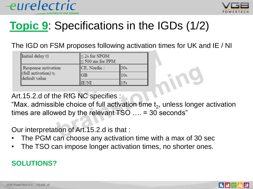



# **Topic 9**: Specifications in the IGDs (1/2)

The IGD on FSM proposes following activation times for UK and IE / NI

| Initial delay t1                                                | $\leq$ 2s for SPGM<br>$\leq$ 500 ms for PPM |                 |
|-----------------------------------------------------------------|---------------------------------------------|-----------------|
| Response activation<br>(full activation) $t_2$<br>default value | CE, Nordic:                                 | 30s             |
|                                                                 | <b>GB</b>                                   | 10 <sub>s</sub> |
|                                                                 | <b>IE/NI</b>                                |                 |

Art.15.2.d of the RfG NC specifies :

"Max. admissible choice of full activation time  $\bm{{\mathsf{t}}}_2$ , unless longer activation times are allowed by the relevant TSO …. = 30 seconds"

Our interpretation of Art.15.2.d is that :

- The PGM can choose any activation time with a max of 30 sec
- The TSO can impose longer activation times, no shorter ones.

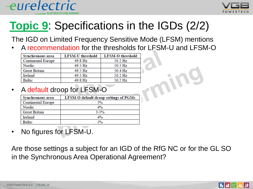



The IGD on Limited Frequency Sensitive Mode (LFSM) mentions

• A recommendation for the thresholds for LFSM-U and LFSM-O

| Synchronous area          | <b>LFSM-U</b> threshold | <b>LFSM-O</b> threshold |
|---------------------------|-------------------------|-------------------------|
| <b>Continental Europe</b> | 49.8 Hz                 | 50.2 Hz                 |
| Nordic                    | 49.5 Hz                 | 50.5 Hz                 |
| <b>Great Britain</b>      | 49.5 Hz                 | 50.4 Hz                 |
| Ireland                   | 49.5 Hz                 | 50.2 Hz                 |
| Baltic                    | 49.8 Hz                 | 50.2 Hz                 |

#### • A default droop for LFSM-O

| Synchronous area          | LFSM-O default droop settings of PGMs |
|---------------------------|---------------------------------------|
| <b>Continental Europe</b> | 5%                                    |
| Nordic                    | $4\%$                                 |
| <b>Great Britain</b>      | $3 - 5%$                              |
| Ireland                   | 4%                                    |
| <b>Baltic</b>             | 5%                                    |

No figures for LFSM-U.

Are those settings a subject for an IGD of the RfG NC or for the GL SO in the Synchronous Area Operational Agreement?